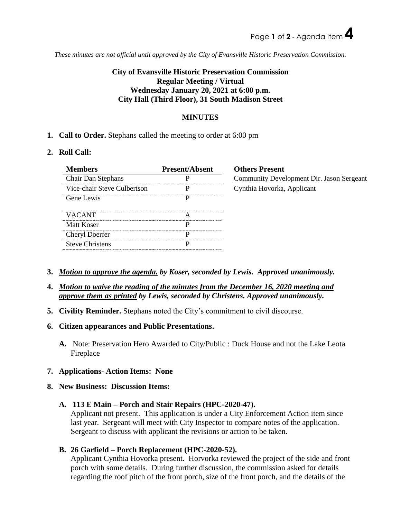*These minutes are not official until approved by the City of Evansville Historic Preservation Commission.*

## **City of Evansville Historic Preservation Commission Regular Meeting / Virtual Wednesday January 20, 2021 at 6:00 p.m. City Hall (Third Floor), 31 South Madison Street**

## **MINUTES**

**1. Call to Order.** Stephans called the meeting to order at 6:00 pm

## **2. Roll Call:**

| <b>Members</b>              | <b>Present/Absent</b> | <b>Others Present</b>                     |
|-----------------------------|-----------------------|-------------------------------------------|
| <b>Chair Dan Stephans</b>   |                       | Community Development Dir. Jason Sergeant |
| Vice-chair Steve Culbertson |                       | Cynthia Hovorka, Applicant                |
| Gene Lewis                  |                       |                                           |
| <b>VACANT</b>               | А                     |                                           |
| Matt Koser                  | D                     |                                           |
| Cheryl Doerfer              |                       |                                           |
| <b>Steve Christens</b>      |                       |                                           |

- **3.** *Motion to approve the agenda. by Koser, seconded by Lewis. Approved unanimously.*
- **4.** *Motion to waive the reading of the minutes from the December 16, 2020 meeting and approve them as printed by Lewis, seconded by Christens. Approved unanimously.*
- **5. Civility Reminder.** Stephans noted the City's commitment to civil discourse.
- **6. Citizen appearances and Public Presentations.**
	- **A.** Note: Preservation Hero Awarded to City/Public : Duck House and not the Lake Leota Fireplace
- **7. Applications- Action Items: None**
- **8. New Business: Discussion Items:**
	- **A. 113 E Main – Porch and Stair Repairs (HPC-2020-47).**

Applicant not present. This application is under a City Enforcement Action item since last year. Sergeant will meet with City Inspector to compare notes of the application. Sergeant to discuss with applicant the revisions or action to be taken.

**B. 26 Garfield – Porch Replacement (HPC-2020-52).**

Applicant Cynthia Hovorka present. Horvorka reviewed the project of the side and front porch with some details. During further discussion, the commission asked for details regarding the roof pitch of the front porch, size of the front porch, and the details of the